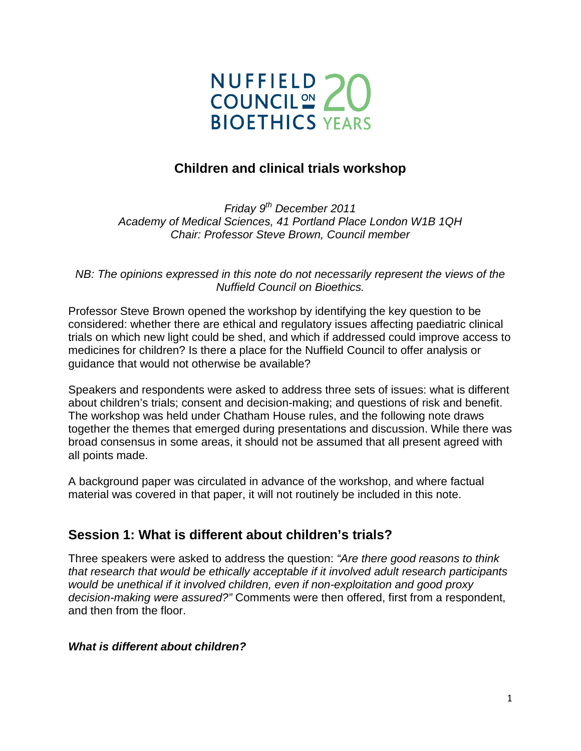

## **Children and clinical trials workshop**

*Friday 9th December 2011 Academy of Medical Sciences, 41 Portland Place London W1B 1QH Chair: Professor Steve Brown, Council member*

*NB: The opinions expressed in this note do not necessarily represent the views of the Nuffield Council on Bioethics.*

Professor Steve Brown opened the workshop by identifying the key question to be considered: whether there are ethical and regulatory issues affecting paediatric clinical trials on which new light could be shed, and which if addressed could improve access to medicines for children? Is there a place for the Nuffield Council to offer analysis or guidance that would not otherwise be available?

Speakers and respondents were asked to address three sets of issues: what is different about children's trials; consent and decision-making; and questions of risk and benefit. The workshop was held under Chatham House rules, and the following note draws together the themes that emerged during presentations and discussion. While there was broad consensus in some areas, it should not be assumed that all present agreed with all points made.

A background paper was circulated in advance of the workshop, and where factual material was covered in that paper, it will not routinely be included in this note.

## **Session 1: What is different about children's trials?**

Three speakers were asked to address the question: *"Are there good reasons to think that research that would be ethically acceptable if it involved adult research participants would be unethical if it involved children, even if non-exploitation and good proxy decision-making were assured?"* Comments were then offered, first from a respondent, and then from the floor.

#### *What is different about children?*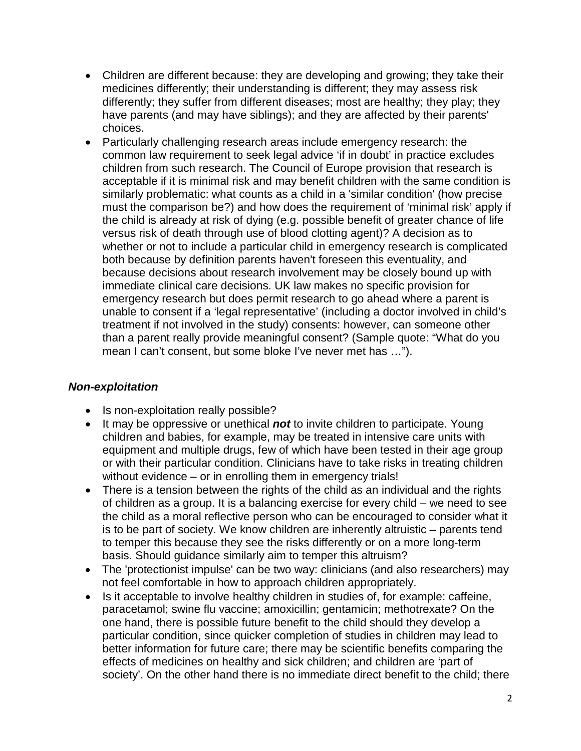- Children are different because: they are developing and growing; they take their medicines differently; their understanding is different; they may assess risk differently; they suffer from different diseases; most are healthy; they play; they have parents (and may have siblings); and they are affected by their parents' choices.
- Particularly challenging research areas include emergency research: the common law requirement to seek legal advice 'if in doubt' in practice excludes children from such research. The Council of Europe provision that research is acceptable if it is minimal risk and may benefit children with the same condition is similarly problematic: what counts as a child in a 'similar condition' (how precise must the comparison be?) and how does the requirement of 'minimal risk' apply if the child is already at risk of dying (e.g. possible benefit of greater chance of life versus risk of death through use of blood clotting agent)? A decision as to whether or not to include a particular child in emergency research is complicated both because by definition parents haven't foreseen this eventuality, and because decisions about research involvement may be closely bound up with immediate clinical care decisions. UK law makes no specific provision for emergency research but does permit research to go ahead where a parent is unable to consent if a 'legal representative' (including a doctor involved in child's treatment if not involved in the study) consents: however, can someone other than a parent really provide meaningful consent? (Sample quote: "What do you mean I can't consent, but some bloke I've never met has …").

## *Non-exploitation*

- Is non-exploitation really possible?
- It may be oppressive or unethical *not* to invite children to participate. Young children and babies, for example, may be treated in intensive care units with equipment and multiple drugs, few of which have been tested in their age group or with their particular condition. Clinicians have to take risks in treating children without evidence – or in enrolling them in emergency trials!
- There is a tension between the rights of the child as an individual and the rights of children as a group. It is a balancing exercise for every child – we need to see the child as a moral reflective person who can be encouraged to consider what it is to be part of society. We know children are inherently altruistic – parents tend to temper this because they see the risks differently or on a more long-term basis. Should guidance similarly aim to temper this altruism?
- The 'protectionist impulse' can be two way: clinicians (and also researchers) may not feel comfortable in how to approach children appropriately.
- Is it acceptable to involve healthy children in studies of, for example: caffeine, paracetamol; swine flu vaccine; amoxicillin; gentamicin; methotrexate? On the one hand, there is possible future benefit to the child should they develop a particular condition, since quicker completion of studies in children may lead to better information for future care; there may be scientific benefits comparing the effects of medicines on healthy and sick children; and children are 'part of society'. On the other hand there is no immediate direct benefit to the child; there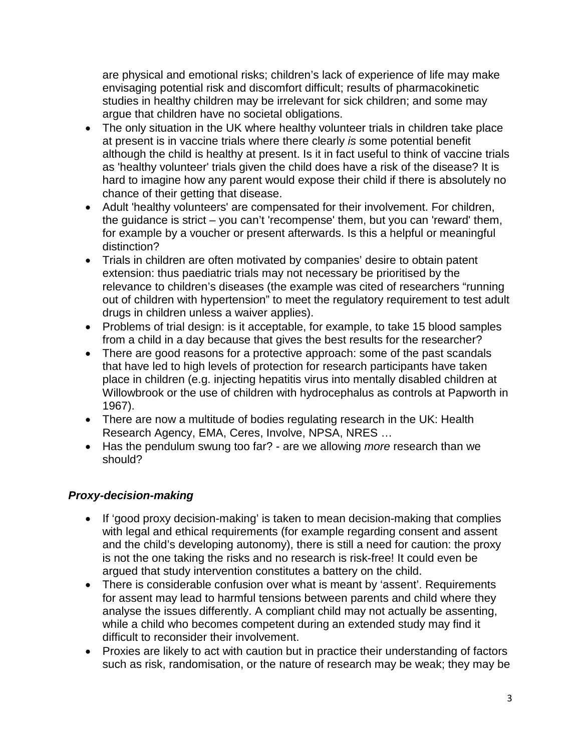are physical and emotional risks; children's lack of experience of life may make envisaging potential risk and discomfort difficult; results of pharmacokinetic studies in healthy children may be irrelevant for sick children; and some may argue that children have no societal obligations.

- The only situation in the UK where healthy volunteer trials in children take place at present is in vaccine trials where there clearly *is* some potential benefit although the child is healthy at present. Is it in fact useful to think of vaccine trials as 'healthy volunteer' trials given the child does have a risk of the disease? It is hard to imagine how any parent would expose their child if there is absolutely no chance of their getting that disease.
- Adult 'healthy volunteers' are compensated for their involvement. For children, the guidance is strict – you can't 'recompense' them, but you can 'reward' them, for example by a voucher or present afterwards. Is this a helpful or meaningful distinction?
- Trials in children are often motivated by companies' desire to obtain patent extension: thus paediatric trials may not necessary be prioritised by the relevance to children's diseases (the example was cited of researchers "running out of children with hypertension" to meet the regulatory requirement to test adult drugs in children unless a waiver applies).
- Problems of trial design: is it acceptable, for example, to take 15 blood samples from a child in a day because that gives the best results for the researcher?
- There are good reasons for a protective approach: some of the past scandals that have led to high levels of protection for research participants have taken place in children (e.g. injecting hepatitis virus into mentally disabled children at Willowbrook or the use of children with hydrocephalus as controls at Papworth in 1967).
- There are now a multitude of bodies regulating research in the UK: Health Research Agency, EMA, Ceres, Involve, NPSA, NRES …
- Has the pendulum swung too far? are we allowing *more* research than we should?

## *Proxy-decision-making*

- If 'good proxy decision-making' is taken to mean decision-making that complies with legal and ethical requirements (for example regarding consent and assent and the child's developing autonomy), there is still a need for caution: the proxy is not the one taking the risks and no research is risk-free! It could even be argued that study intervention constitutes a battery on the child.
- There is considerable confusion over what is meant by 'assent'. Requirements for assent may lead to harmful tensions between parents and child where they analyse the issues differently. A compliant child may not actually be assenting, while a child who becomes competent during an extended study may find it difficult to reconsider their involvement.
- Proxies are likely to act with caution but in practice their understanding of factors such as risk, randomisation, or the nature of research may be weak; they may be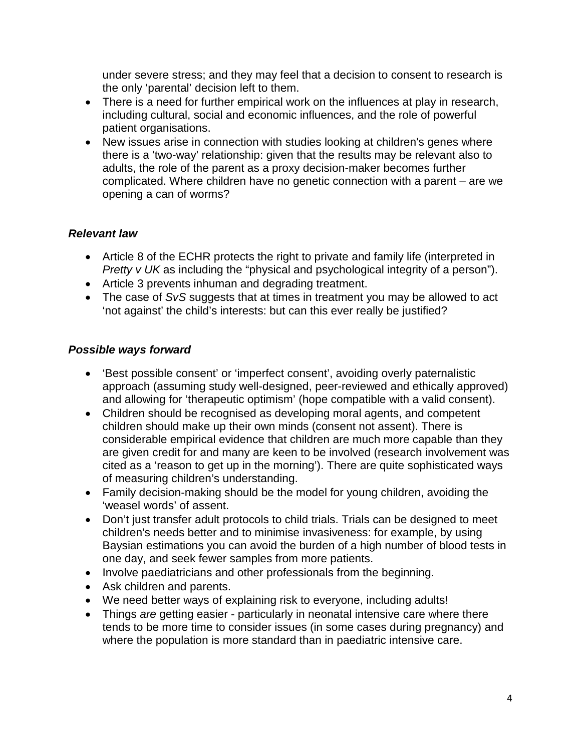under severe stress; and they may feel that a decision to consent to research is the only 'parental' decision left to them.

- There is a need for further empirical work on the influences at play in research, including cultural, social and economic influences, and the role of powerful patient organisations.
- New issues arise in connection with studies looking at children's genes where there is a 'two-way' relationship: given that the results may be relevant also to adults, the role of the parent as a proxy decision-maker becomes further complicated. Where children have no genetic connection with a parent – are we opening a can of worms?

## *Relevant law*

- Article 8 of the ECHR protects the right to private and family life (interpreted in *Pretty v UK* as including the "physical and psychological integrity of a person").
- Article 3 prevents inhuman and degrading treatment.
- The case of *SvS* suggests that at times in treatment you may be allowed to act 'not against' the child's interests: but can this ever really be justified?

## *Possible ways forward*

- 'Best possible consent' or 'imperfect consent', avoiding overly paternalistic approach (assuming study well-designed, peer-reviewed and ethically approved) and allowing for 'therapeutic optimism' (hope compatible with a valid consent).
- Children should be recognised as developing moral agents, and competent children should make up their own minds (consent not assent). There is considerable empirical evidence that children are much more capable than they are given credit for and many are keen to be involved (research involvement was cited as a 'reason to get up in the morning'). There are quite sophisticated ways of measuring children's understanding.
- Family decision-making should be the model for young children, avoiding the 'weasel words' of assent.
- Don't just transfer adult protocols to child trials. Trials can be designed to meet children's needs better and to minimise invasiveness: for example, by using Baysian estimations you can avoid the burden of a high number of blood tests in one day, and seek fewer samples from more patients.
- Involve paediatricians and other professionals from the beginning.
- Ask children and parents.
- We need better ways of explaining risk to everyone, including adults!
- Things *are* getting easier particularly in neonatal intensive care where there tends to be more time to consider issues (in some cases during pregnancy) and where the population is more standard than in paediatric intensive care.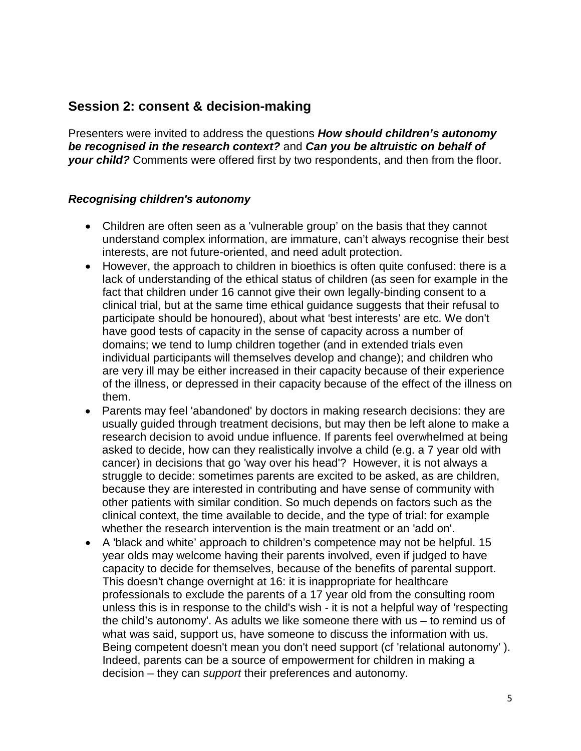## **Session 2: consent & decision-making**

Presenters were invited to address the questions *How should children's autonomy be recognised in the research context?* and *Can you be altruistic on behalf of your child?* Comments were offered first by two respondents, and then from the floor.

#### *Recognising children's autonomy*

- Children are often seen as a 'vulnerable group' on the basis that they cannot understand complex information, are immature, can't always recognise their best interests, are not future-oriented, and need adult protection.
- However, the approach to children in bioethics is often quite confused: there is a lack of understanding of the ethical status of children (as seen for example in the fact that children under 16 cannot give their own legally-binding consent to a clinical trial, but at the same time ethical guidance suggests that their refusal to participate should be honoured), about what 'best interests' are etc. We don't have good tests of capacity in the sense of capacity across a number of domains; we tend to lump children together (and in extended trials even individual participants will themselves develop and change); and children who are very ill may be either increased in their capacity because of their experience of the illness, or depressed in their capacity because of the effect of the illness on them.
- Parents may feel 'abandoned' by doctors in making research decisions: they are usually guided through treatment decisions, but may then be left alone to make a research decision to avoid undue influence. If parents feel overwhelmed at being asked to decide, how can they realistically involve a child (e.g. a 7 year old with cancer) in decisions that go 'way over his head'? However, it is not always a struggle to decide: sometimes parents are excited to be asked, as are children, because they are interested in contributing and have sense of community with other patients with similar condition. So much depends on factors such as the clinical context, the time available to decide, and the type of trial: for example whether the research intervention is the main treatment or an 'add on'.
- A 'black and white' approach to children's competence may not be helpful. 15 year olds may welcome having their parents involved, even if judged to have capacity to decide for themselves, because of the benefits of parental support. This doesn't change overnight at 16: it is inappropriate for healthcare professionals to exclude the parents of a 17 year old from the consulting room unless this is in response to the child's wish - it is not a helpful way of 'respecting the child's autonomy'. As adults we like someone there with us – to remind us of what was said, support us, have someone to discuss the information with us. Being competent doesn't mean you don't need support (cf 'relational autonomy' ). Indeed, parents can be a source of empowerment for children in making a decision – they can *support* their preferences and autonomy.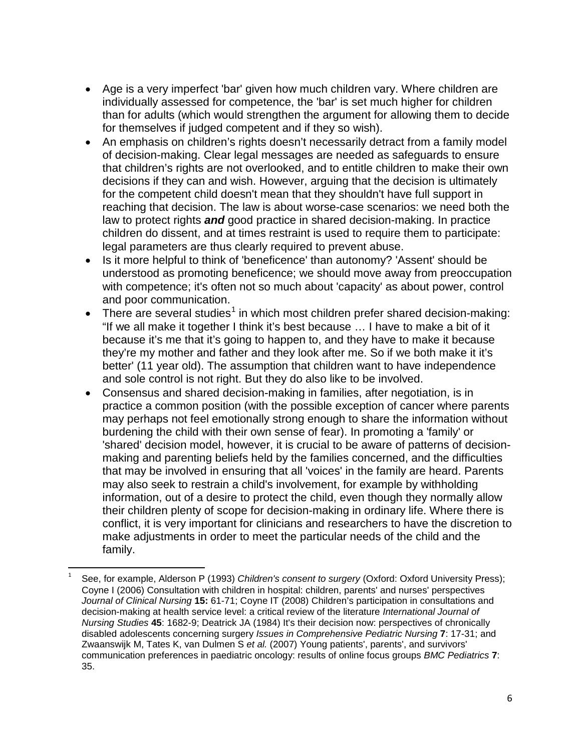- Age is a very imperfect 'bar' given how much children vary. Where children are individually assessed for competence, the 'bar' is set much higher for children than for adults (which would strengthen the argument for allowing them to decide for themselves if judged competent and if they so wish).
- An emphasis on children's rights doesn't necessarily detract from a family model of decision-making. Clear legal messages are needed as safeguards to ensure that children's rights are not overlooked, and to entitle children to make their own decisions if they can and wish. However, arguing that the decision is ultimately for the competent child doesn't mean that they shouldn't have full support in reaching that decision. The law is about worse-case scenarios: we need both the law to protect rights *and* good practice in shared decision-making. In practice children do dissent, and at times restraint is used to require them to participate: legal parameters are thus clearly required to prevent abuse.
- Is it more helpful to think of 'beneficence' than autonomy? 'Assent' should be understood as promoting beneficence; we should move away from preoccupation with competence; it's often not so much about 'capacity' as about power, control and poor communication.
- There are several studies<sup>[1](#page-5-0)</sup> in which most children prefer shared decision-making: "If we all make it together I think it's best because … I have to make a bit of it because it's me that it's going to happen to, and they have to make it because they're my mother and father and they look after me. So if we both make it it's better' (11 year old). The assumption that children want to have independence and sole control is not right. But they do also like to be involved.
- Consensus and shared decision-making in families, after negotiation, is in practice a common position (with the possible exception of cancer where parents may perhaps not feel emotionally strong enough to share the information without burdening the child with their own sense of fear). In promoting a 'family' or 'shared' decision model, however, it is crucial to be aware of patterns of decisionmaking and parenting beliefs held by the families concerned, and the difficulties that may be involved in ensuring that all 'voices' in the family are heard. Parents may also seek to restrain a child's involvement, for example by withholding information, out of a desire to protect the child, even though they normally allow their children plenty of scope for decision-making in ordinary life. Where there is conflict, it is very important for clinicians and researchers to have the discretion to make adjustments in order to meet the particular needs of the child and the family.

<span id="page-5-0"></span> <sup>1</sup> See, for example, Alderson P (1993) *Children's consent to surgery* (Oxford: Oxford University Press); Coyne I (2006) Consultation with children in hospital: children, parents' and nurses' perspectives *Journal of Clinical Nursing* **15:** 61-71; Coyne IT (2008) Children's participation in consultations and decision-making at health service level: a critical review of the literature *International Journal of Nursing Studies* **45**: 1682-9; Deatrick JA (1984) It's their decision now: perspectives of chronically disabled adolescents concerning surgery *Issues in Comprehensive Pediatric Nursing* **7**: 17-31; and Zwaanswijk M, Tates K, van Dulmen S *et al.* (2007) Young patients', parents', and survivors' communication preferences in paediatric oncology: results of online focus groups *BMC Pediatrics* **7**: 35.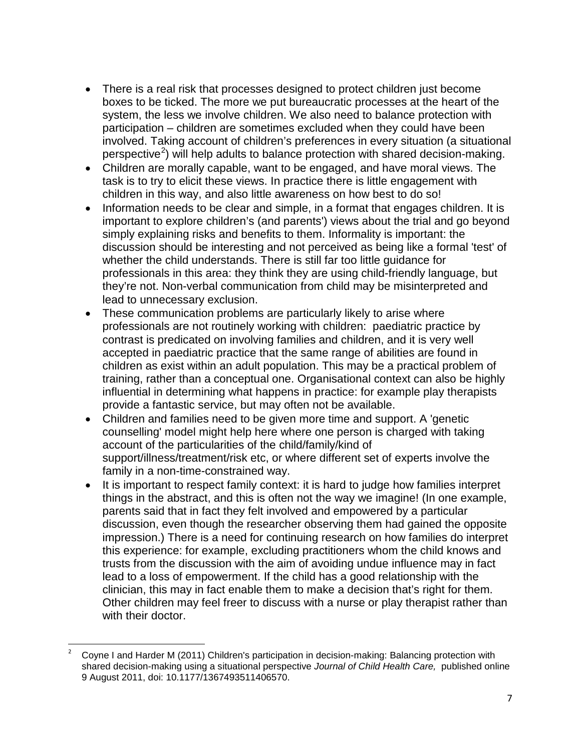- There is a real risk that processes designed to protect children just become boxes to be ticked. The more we put bureaucratic processes at the heart of the system, the less we involve children. We also need to balance protection with participation – children are sometimes excluded when they could have been involved. Taking account of children's preferences in every situation (a situational perspective<sup>[2](#page-6-0)</sup>) will help adults to balance protection with shared decision-making.
- Children are morally capable, want to be engaged, and have moral views. The task is to try to elicit these views. In practice there is little engagement with children in this way, and also little awareness on how best to do so!
- Information needs to be clear and simple, in a format that engages children. It is important to explore children's (and parents') views about the trial and go beyond simply explaining risks and benefits to them. Informality is important: the discussion should be interesting and not perceived as being like a formal 'test' of whether the child understands. There is still far too little guidance for professionals in this area: they think they are using child-friendly language, but they're not. Non-verbal communication from child may be misinterpreted and lead to unnecessary exclusion.
- These communication problems are particularly likely to arise where professionals are not routinely working with children: paediatric practice by contrast is predicated on involving families and children, and it is very well accepted in paediatric practice that the same range of abilities are found in children as exist within an adult population. This may be a practical problem of training, rather than a conceptual one. Organisational context can also be highly influential in determining what happens in practice: for example play therapists provide a fantastic service, but may often not be available.
- Children and families need to be given more time and support. A 'genetic counselling' model might help here where one person is charged with taking account of the particularities of the child/family/kind of support/illness/treatment/risk etc, or where different set of experts involve the family in a non-time-constrained way.
- It is important to respect family context: it is hard to judge how families interpret things in the abstract, and this is often not the way we imagine! (In one example, parents said that in fact they felt involved and empowered by a particular discussion, even though the researcher observing them had gained the opposite impression.) There is a need for continuing research on how families do interpret this experience: for example, excluding practitioners whom the child knows and trusts from the discussion with the aim of avoiding undue influence may in fact lead to a loss of empowerment. If the child has a good relationship with the clinician, this may in fact enable them to make a decision that's right for them. Other children may feel freer to discuss with a nurse or play therapist rather than with their doctor.

<span id="page-6-0"></span> <sup>2</sup> Coyne <sup>I</sup> and Harder M (2011) Children's participation in decision-making: Balancing protection with shared decision-making using a situational perspective *Journal of Child Health Care,* published online 9 August 2011, doi: 10.1177/1367493511406570.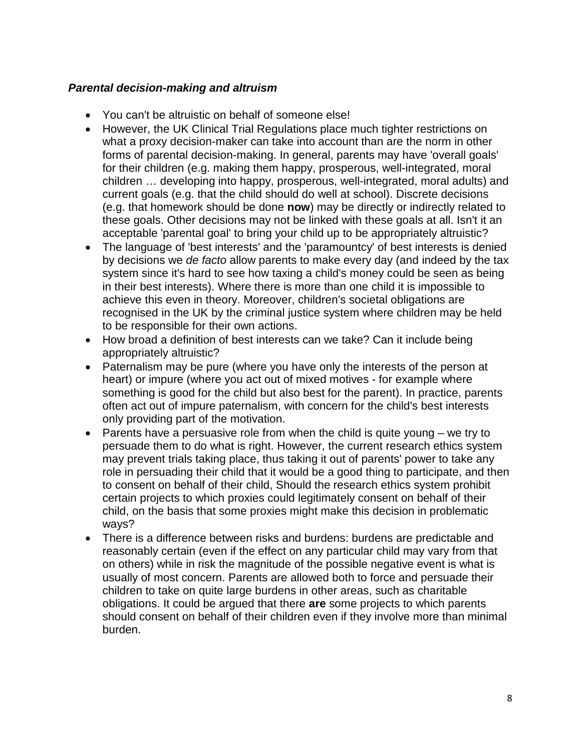### *Parental decision-making and altruism*

- You can't be altruistic on behalf of someone else!
- However, the UK Clinical Trial Regulations place much tighter restrictions on what a proxy decision-maker can take into account than are the norm in other forms of parental decision-making. In general, parents may have 'overall goals' for their children (e.g. making them happy, prosperous, well-integrated, moral children … developing into happy, prosperous, well-integrated, moral adults) and current goals (e.g. that the child should do well at school). Discrete decisions (e.g. that homework should be done **now**) may be directly or indirectly related to these goals. Other decisions may not be linked with these goals at all. Isn't it an acceptable 'parental goal' to bring your child up to be appropriately altruistic?
- The language of 'best interests' and the 'paramountcy' of best interests is denied by decisions we *de facto* allow parents to make every day (and indeed by the tax system since it's hard to see how taxing a child's money could be seen as being in their best interests). Where there is more than one child it is impossible to achieve this even in theory. Moreover, children's societal obligations are recognised in the UK by the criminal justice system where children may be held to be responsible for their own actions.
- How broad a definition of best interests can we take? Can it include being appropriately altruistic?
- Paternalism may be pure (where you have only the interests of the person at heart) or impure (where you act out of mixed motives - for example where something is good for the child but also best for the parent). In practice, parents often act out of impure paternalism, with concern for the child's best interests only providing part of the motivation.
- Parents have a persuasive role from when the child is quite young we try to persuade them to do what is right. However, the current research ethics system may prevent trials taking place, thus taking it out of parents' power to take any role in persuading their child that it would be a good thing to participate, and then to consent on behalf of their child, Should the research ethics system prohibit certain projects to which proxies could legitimately consent on behalf of their child, on the basis that some proxies might make this decision in problematic ways?
- There is a difference between risks and burdens: burdens are predictable and reasonably certain (even if the effect on any particular child may vary from that on others) while in risk the magnitude of the possible negative event is what is usually of most concern. Parents are allowed both to force and persuade their children to take on quite large burdens in other areas, such as charitable obligations. It could be argued that there **are** some projects to which parents should consent on behalf of their children even if they involve more than minimal burden.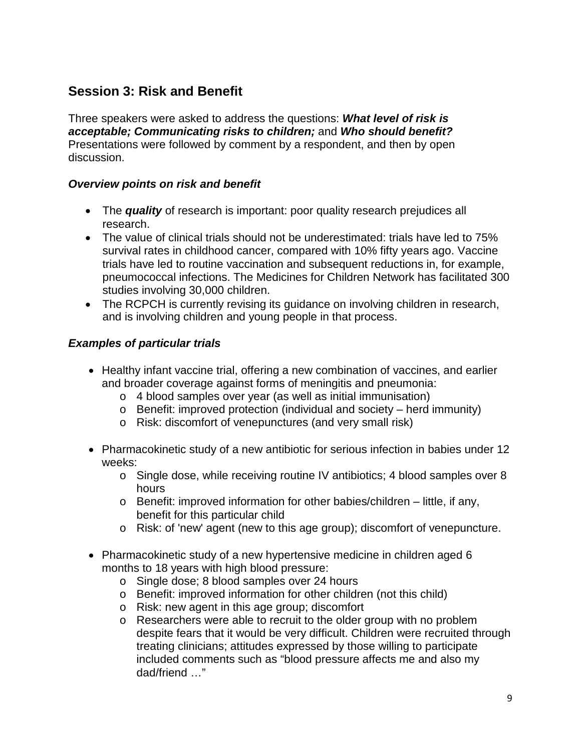## **Session 3: Risk and Benefit**

Three speakers were asked to address the questions: *What level of risk is acceptable; Communicating risks to children;* and *Who should benefit?* Presentations were followed by comment by a respondent, and then by open discussion.

### *Overview points on risk and benefit*

- The *quality* of research is important: poor quality research prejudices all research.
- The value of clinical trials should not be underestimated: trials have led to 75% survival rates in childhood cancer, compared with 10% fifty years ago. Vaccine trials have led to routine vaccination and subsequent reductions in, for example, pneumococcal infections. The Medicines for Children Network has facilitated 300 studies involving 30,000 children.
- The RCPCH is currently revising its guidance on involving children in research, and is involving children and young people in that process.

## *Examples of particular trials*

- Healthy infant vaccine trial, offering a new combination of vaccines, and earlier and broader coverage against forms of meningitis and pneumonia:
	- o 4 blood samples over year (as well as initial immunisation)
	- o Benefit: improved protection (individual and society herd immunity)
	- o Risk: discomfort of venepunctures (and very small risk)
- Pharmacokinetic study of a new antibiotic for serious infection in babies under 12 weeks:
	- o Single dose, while receiving routine IV antibiotics; 4 blood samples over 8 hours
	- o Benefit: improved information for other babies/children little, if any, benefit for this particular child
	- o Risk: of 'new' agent (new to this age group); discomfort of venepuncture.
- Pharmacokinetic study of a new hypertensive medicine in children aged 6 months to 18 years with high blood pressure:
	- o Single dose; 8 blood samples over 24 hours
	- o Benefit: improved information for other children (not this child)
	- o Risk: new agent in this age group; discomfort
	- o Researchers were able to recruit to the older group with no problem despite fears that it would be very difficult. Children were recruited through treating clinicians; attitudes expressed by those willing to participate included comments such as "blood pressure affects me and also my dad/friend …"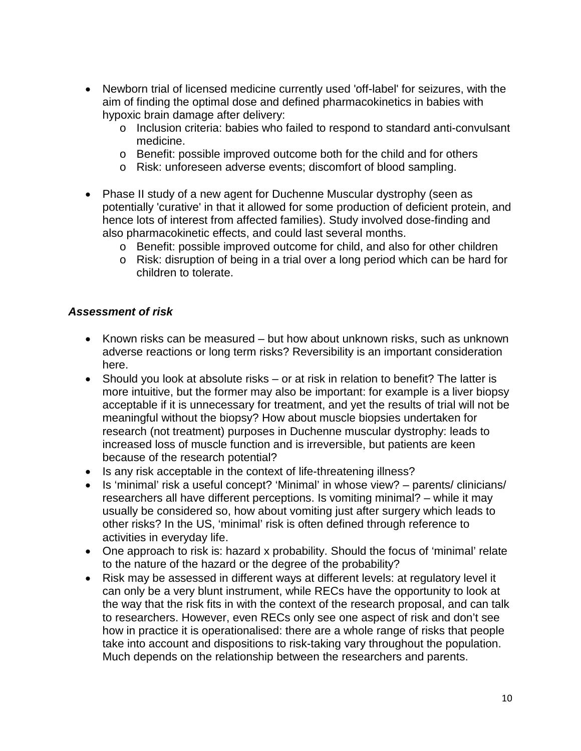- Newborn trial of licensed medicine currently used 'off-label' for seizures, with the aim of finding the optimal dose and defined pharmacokinetics in babies with hypoxic brain damage after delivery:
	- o Inclusion criteria: babies who failed to respond to standard anti-convulsant medicine.
	- o Benefit: possible improved outcome both for the child and for others
	- o Risk: unforeseen adverse events; discomfort of blood sampling.
- Phase II study of a new agent for Duchenne Muscular dystrophy (seen as potentially 'curative' in that it allowed for some production of deficient protein, and hence lots of interest from affected families). Study involved dose-finding and also pharmacokinetic effects, and could last several months.
	- o Benefit: possible improved outcome for child, and also for other children
	- o Risk: disruption of being in a trial over a long period which can be hard for children to tolerate.

#### *Assessment of risk*

- Known risks can be measured but how about unknown risks, such as unknown adverse reactions or long term risks? Reversibility is an important consideration here.
- Should you look at absolute risks or at risk in relation to benefit? The latter is more intuitive, but the former may also be important: for example is a liver biopsy acceptable if it is unnecessary for treatment, and yet the results of trial will not be meaningful without the biopsy? How about muscle biopsies undertaken for research (not treatment) purposes in Duchenne muscular dystrophy: leads to increased loss of muscle function and is irreversible, but patients are keen because of the research potential?
- Is any risk acceptable in the context of life-threatening illness?
- Is 'minimal' risk a useful concept? 'Minimal' in whose view? parents/ clinicians/ researchers all have different perceptions. Is vomiting minimal? – while it may usually be considered so, how about vomiting just after surgery which leads to other risks? In the US, 'minimal' risk is often defined through reference to activities in everyday life.
- One approach to risk is: hazard x probability. Should the focus of 'minimal' relate to the nature of the hazard or the degree of the probability?
- Risk may be assessed in different ways at different levels: at regulatory level it can only be a very blunt instrument, while RECs have the opportunity to look at the way that the risk fits in with the context of the research proposal, and can talk to researchers. However, even RECs only see one aspect of risk and don't see how in practice it is operationalised: there are a whole range of risks that people take into account and dispositions to risk-taking vary throughout the population. Much depends on the relationship between the researchers and parents.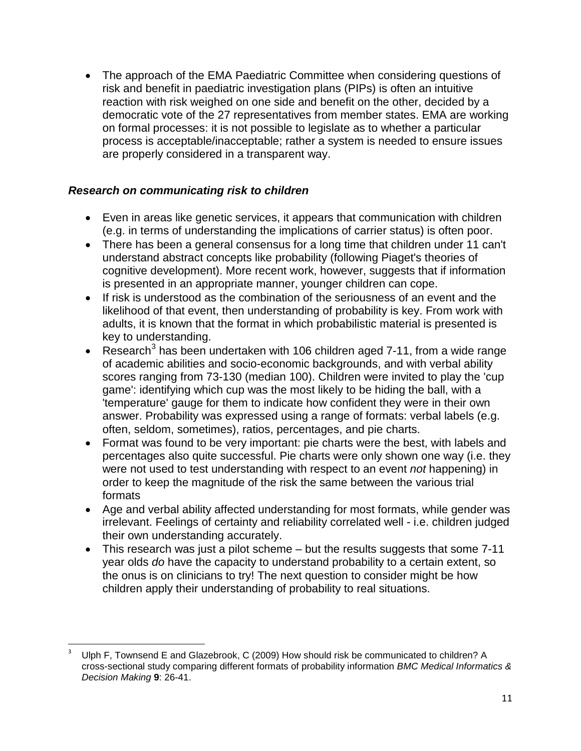• The approach of the EMA Paediatric Committee when considering questions of risk and benefit in paediatric investigation plans (PIPs) is often an intuitive reaction with risk weighed on one side and benefit on the other, decided by a democratic vote of the 27 representatives from member states. EMA are working on formal processes: it is not possible to legislate as to whether a particular process is acceptable/inacceptable; rather a system is needed to ensure issues are properly considered in a transparent way.

## *Research on communicating risk to children*

- Even in areas like genetic services, it appears that communication with children (e.g. in terms of understanding the implications of carrier status) is often poor.
- There has been a general consensus for a long time that children under 11 can't understand abstract concepts like probability (following Piaget's theories of cognitive development). More recent work, however, suggests that if information is presented in an appropriate manner, younger children can cope.
- If risk is understood as the combination of the seriousness of an event and the likelihood of that event, then understanding of probability is key. From work with adults, it is known that the format in which probabilistic material is presented is key to understanding.
- Research<sup>[3](#page-10-0)</sup> has been undertaken with 106 children aged 7-11, from a wide range of academic abilities and socio-economic backgrounds, and with verbal ability scores ranging from 73-130 (median 100). Children were invited to play the 'cup game': identifying which cup was the most likely to be hiding the ball, with a 'temperature' gauge for them to indicate how confident they were in their own answer. Probability was expressed using a range of formats: verbal labels (e.g. often, seldom, sometimes), ratios, percentages, and pie charts.
- Format was found to be very important: pie charts were the best, with labels and percentages also quite successful. Pie charts were only shown one way (i.e. they were not used to test understanding with respect to an event *not* happening) in order to keep the magnitude of the risk the same between the various trial formats
- Age and verbal ability affected understanding for most formats, while gender was irrelevant. Feelings of certainty and reliability correlated well - i.e. children judged their own understanding accurately.
- This research was just a pilot scheme but the results suggests that some 7-11 year olds *do* have the capacity to understand probability to a certain extent, so the onus is on clinicians to try! The next question to consider might be how children apply their understanding of probability to real situations.

<span id="page-10-0"></span>Ulph F, Townsend E and Glazebrook, C (2009) How should risk be communicated to children? A cross-sectional study comparing different formats of probability information *BMC Medical Informatics & Decision Making* **9**: 26-41.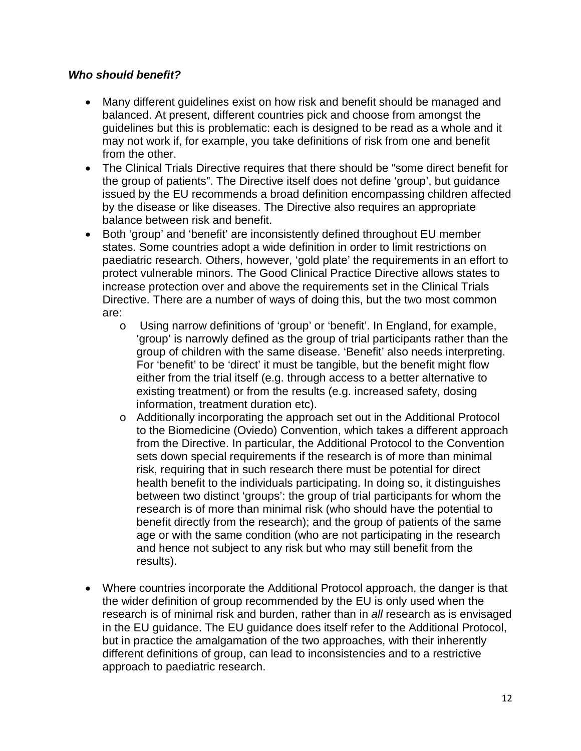#### *Who should benefit?*

- Many different guidelines exist on how risk and benefit should be managed and balanced. At present, different countries pick and choose from amongst the guidelines but this is problematic: each is designed to be read as a whole and it may not work if, for example, you take definitions of risk from one and benefit from the other.
- The Clinical Trials Directive requires that there should be "some direct benefit for the group of patients". The Directive itself does not define 'group', but guidance issued by the EU recommends a broad definition encompassing children affected by the disease or like diseases. The Directive also requires an appropriate balance between risk and benefit.
- Both 'group' and 'benefit' are inconsistently defined throughout EU member states. Some countries adopt a wide definition in order to limit restrictions on paediatric research. Others, however, 'gold plate' the requirements in an effort to protect vulnerable minors. The Good Clinical Practice Directive allows states to increase protection over and above the requirements set in the Clinical Trials Directive. There are a number of ways of doing this, but the two most common are:
	- o Using narrow definitions of 'group' or 'benefit'. In England, for example, 'group' is narrowly defined as the group of trial participants rather than the group of children with the same disease. 'Benefit' also needs interpreting. For 'benefit' to be 'direct' it must be tangible, but the benefit might flow either from the trial itself (e.g. through access to a better alternative to existing treatment) or from the results (e.g. increased safety, dosing information, treatment duration etc).
	- o Additionally incorporating the approach set out in the Additional Protocol to the Biomedicine (Oviedo) Convention, which takes a different approach from the Directive. In particular, the Additional Protocol to the Convention sets down special requirements if the research is of more than minimal risk, requiring that in such research there must be potential for direct health benefit to the individuals participating. In doing so, it distinguishes between two distinct 'groups': the group of trial participants for whom the research is of more than minimal risk (who should have the potential to benefit directly from the research); and the group of patients of the same age or with the same condition (who are not participating in the research and hence not subject to any risk but who may still benefit from the results).
- Where countries incorporate the Additional Protocol approach, the danger is that the wider definition of group recommended by the EU is only used when the research is of minimal risk and burden, rather than in *all* research as is envisaged in the EU guidance. The EU guidance does itself refer to the Additional Protocol, but in practice the amalgamation of the two approaches, with their inherently different definitions of group, can lead to inconsistencies and to a restrictive approach to paediatric research.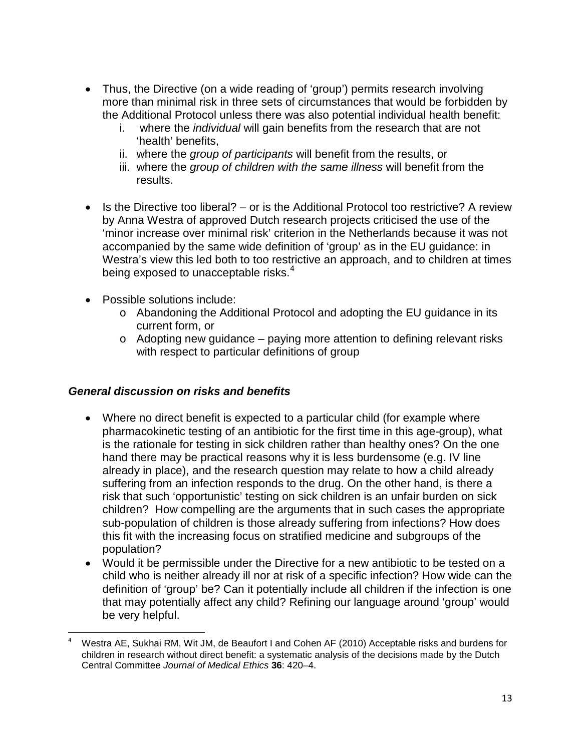- Thus, the Directive (on a wide reading of 'group') permits research involving more than minimal risk in three sets of circumstances that would be forbidden by the Additional Protocol unless there was also potential individual health benefit:
	- i. where the *individual* will gain benefits from the research that are not 'health' benefits,
	- ii. where the *group of participants* will benefit from the results, or
	- iii. where the *group of children with the same illness* will benefit from the results.
- Is the Directive too liberal? or is the Additional Protocol too restrictive? A review by Anna Westra of approved Dutch research projects criticised the use of the 'minor increase over minimal risk' criterion in the Netherlands because it was not accompanied by the same wide definition of 'group' as in the EU guidance: in Westra's view this led both to too restrictive an approach, and to children at times being exposed to unacceptable risks. $4$
- Possible solutions include:
	- o Abandoning the Additional Protocol and adopting the EU guidance in its current form, or
	- o Adopting new guidance paying more attention to defining relevant risks with respect to particular definitions of group

## *General discussion on risks and benefits*

- Where no direct benefit is expected to a particular child (for example where pharmacokinetic testing of an antibiotic for the first time in this age-group), what is the rationale for testing in sick children rather than healthy ones? On the one hand there may be practical reasons why it is less burdensome (e.g. IV line already in place), and the research question may relate to how a child already suffering from an infection responds to the drug. On the other hand, is there a risk that such 'opportunistic' testing on sick children is an unfair burden on sick children? How compelling are the arguments that in such cases the appropriate sub-population of children is those already suffering from infections? How does this fit with the increasing focus on stratified medicine and subgroups of the population?
- Would it be permissible under the Directive for a new antibiotic to be tested on a child who is neither already ill nor at risk of a specific infection? How wide can the definition of 'group' be? Can it potentially include all children if the infection is one that may potentially affect any child? Refining our language around 'group' would be very helpful.

<span id="page-12-0"></span> <sup>4</sup> Westra AE, Sukhai RM, Wit JM, de Beaufort I and Cohen AF (2010) Acceptable risks and burdens for children in research without direct benefit: a systematic analysis of the decisions made by the Dutch Central Committee *Journal of Medical Ethics* **36**: 420–4.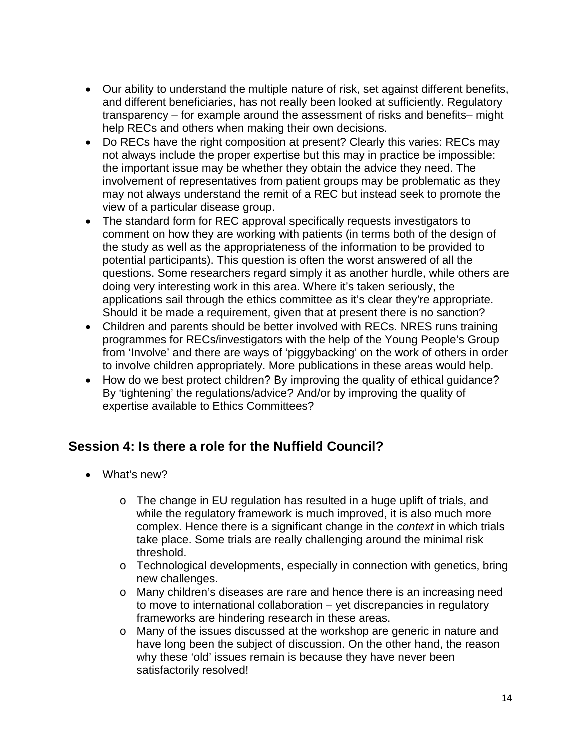- Our ability to understand the multiple nature of risk, set against different benefits, and different beneficiaries, has not really been looked at sufficiently. Regulatory transparency – for example around the assessment of risks and benefits– might help RECs and others when making their own decisions.
- Do RECs have the right composition at present? Clearly this varies: RECs may not always include the proper expertise but this may in practice be impossible: the important issue may be whether they obtain the advice they need. The involvement of representatives from patient groups may be problematic as they may not always understand the remit of a REC but instead seek to promote the view of a particular disease group.
- The standard form for REC approval specifically requests investigators to comment on how they are working with patients (in terms both of the design of the study as well as the appropriateness of the information to be provided to potential participants). This question is often the worst answered of all the questions. Some researchers regard simply it as another hurdle, while others are doing very interesting work in this area. Where it's taken seriously, the applications sail through the ethics committee as it's clear they're appropriate. Should it be made a requirement, given that at present there is no sanction?
- Children and parents should be better involved with RECs. NRES runs training programmes for RECs/investigators with the help of the Young People's Group from 'Involve' and there are ways of 'piggybacking' on the work of others in order to involve children appropriately. More publications in these areas would help.
- How do we best protect children? By improving the quality of ethical quidance? By 'tightening' the regulations/advice? And/or by improving the quality of expertise available to Ethics Committees?

# **Session 4: Is there a role for the Nuffield Council?**

- What's new?
	- o The change in EU regulation has resulted in a huge uplift of trials, and while the regulatory framework is much improved, it is also much more complex. Hence there is a significant change in the *context* in which trials take place. Some trials are really challenging around the minimal risk threshold.
	- $\circ$  Technological developments, especially in connection with genetics, bring new challenges.
	- o Many children's diseases are rare and hence there is an increasing need to move to international collaboration – yet discrepancies in regulatory frameworks are hindering research in these areas.
	- o Many of the issues discussed at the workshop are generic in nature and have long been the subject of discussion. On the other hand, the reason why these 'old' issues remain is because they have never been satisfactorily resolved!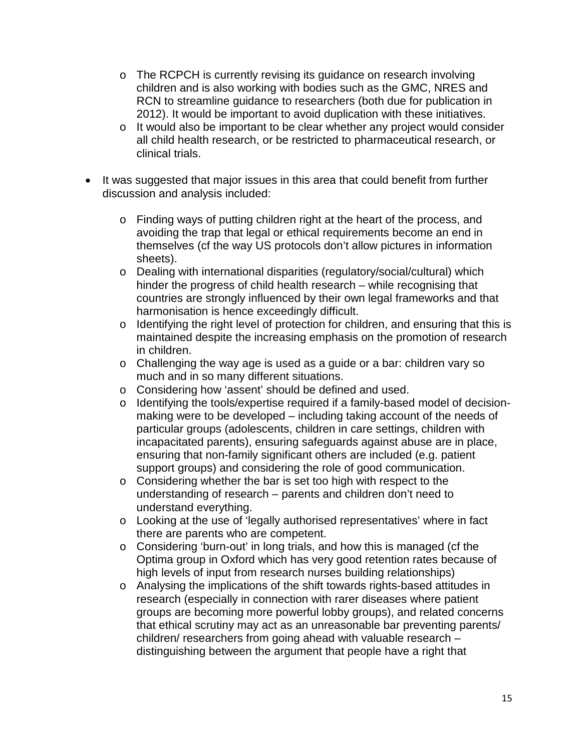- $\circ$  The RCPCH is currently revising its guidance on research involving children and is also working with bodies such as the GMC, NRES and RCN to streamline guidance to researchers (both due for publication in 2012). It would be important to avoid duplication with these initiatives.
- o It would also be important to be clear whether any project would consider all child health research, or be restricted to pharmaceutical research, or clinical trials.
- It was suggested that major issues in this area that could benefit from further discussion and analysis included:
	- o Finding ways of putting children right at the heart of the process, and avoiding the trap that legal or ethical requirements become an end in themselves (cf the way US protocols don't allow pictures in information sheets).
	- o Dealing with international disparities (regulatory/social/cultural) which hinder the progress of child health research – while recognising that countries are strongly influenced by their own legal frameworks and that harmonisation is hence exceedingly difficult.
	- o Identifying the right level of protection for children, and ensuring that this is maintained despite the increasing emphasis on the promotion of research in children.
	- o Challenging the way age is used as a guide or a bar: children vary so much and in so many different situations.
	- o Considering how 'assent' should be defined and used.
	- o Identifying the tools/expertise required if a family-based model of decisionmaking were to be developed – including taking account of the needs of particular groups (adolescents, children in care settings, children with incapacitated parents), ensuring safeguards against abuse are in place, ensuring that non-family significant others are included (e.g. patient support groups) and considering the role of good communication.
	- o Considering whether the bar is set too high with respect to the understanding of research – parents and children don't need to understand everything.
	- o Looking at the use of 'legally authorised representatives' where in fact there are parents who are competent.
	- o Considering 'burn-out' in long trials, and how this is managed (cf the Optima group in Oxford which has very good retention rates because of high levels of input from research nurses building relationships)
	- o Analysing the implications of the shift towards rights-based attitudes in research (especially in connection with rarer diseases where patient groups are becoming more powerful lobby groups), and related concerns that ethical scrutiny may act as an unreasonable bar preventing parents/ children/ researchers from going ahead with valuable research – distinguishing between the argument that people have a right that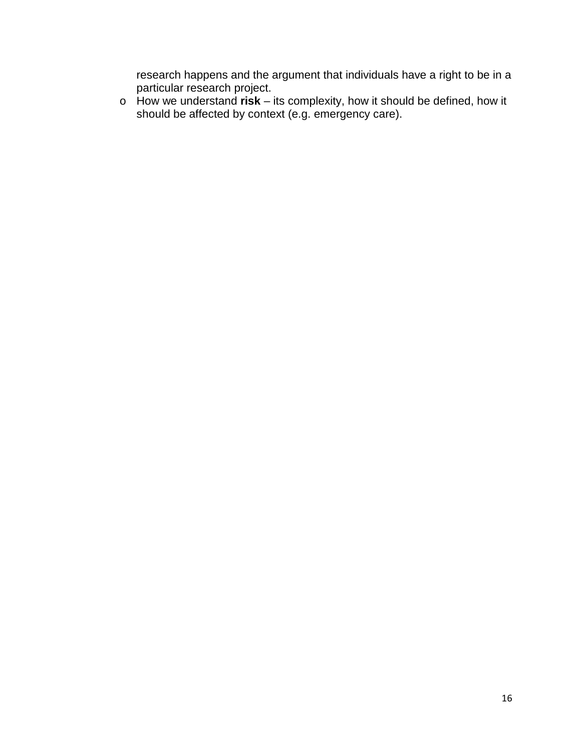research happens and the argument that individuals have a right to be in a particular research project.

o How we understand **risk** – its complexity, how it should be defined, how it should be affected by context (e.g. emergency care).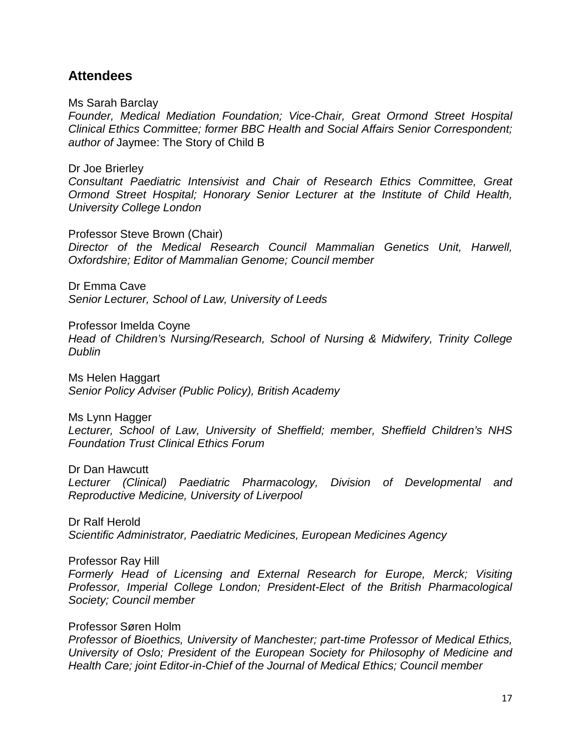## **Attendees**

Ms Sarah Barclay

*Founder, Medical Mediation Foundation; Vice-Chair, Great Ormond Street Hospital Clinical Ethics Committee; former BBC Health and Social Affairs Senior Correspondent; author of* Jaymee: The Story of Child B

Dr Joe Brierley

*Consultant Paediatric Intensivist and Chair of Research Ethics Committee, Great Ormond Street Hospital; Honorary Senior Lecturer at the Institute of Child Health, University College London*

Professor Steve Brown (Chair)

*Director of the Medical Research Council Mammalian Genetics Unit, Harwell, Oxfordshire; Editor of Mammalian Genome; Council member*

Dr Emma Cave *Senior Lecturer, School of Law, University of Leeds*

Professor Imelda Coyne

*Head of Children's Nursing/Research, School of Nursing & Midwifery, Trinity College Dublin*

Ms Helen Haggart *Senior Policy Adviser (Public Policy), British Academy*

Ms Lynn Hagger

*Lecturer, School of Law, University of Sheffield; member, Sheffield Children's NHS Foundation Trust Clinical Ethics Forum*

Dr Dan Hawcutt

*Lecturer (Clinical) Paediatric Pharmacology, Division of Developmental and Reproductive Medicine, University of Liverpool*

Dr Ralf Herold *Scientific Administrator, Paediatric Medicines, European Medicines Agency*

Professor Ray Hill

*Formerly Head of Licensing and External Research for Europe, Merck; Visiting Professor, Imperial College London; President-Elect of the British Pharmacological Society; Council member*

Professor Søren Holm

*Professor of Bioethics, University of Manchester; part-time Professor of Medical Ethics, University of Oslo; President of the European Society for Philosophy of Medicine and Health Care; joint Editor-in-Chief of the Journal of Medical Ethics; Council member*